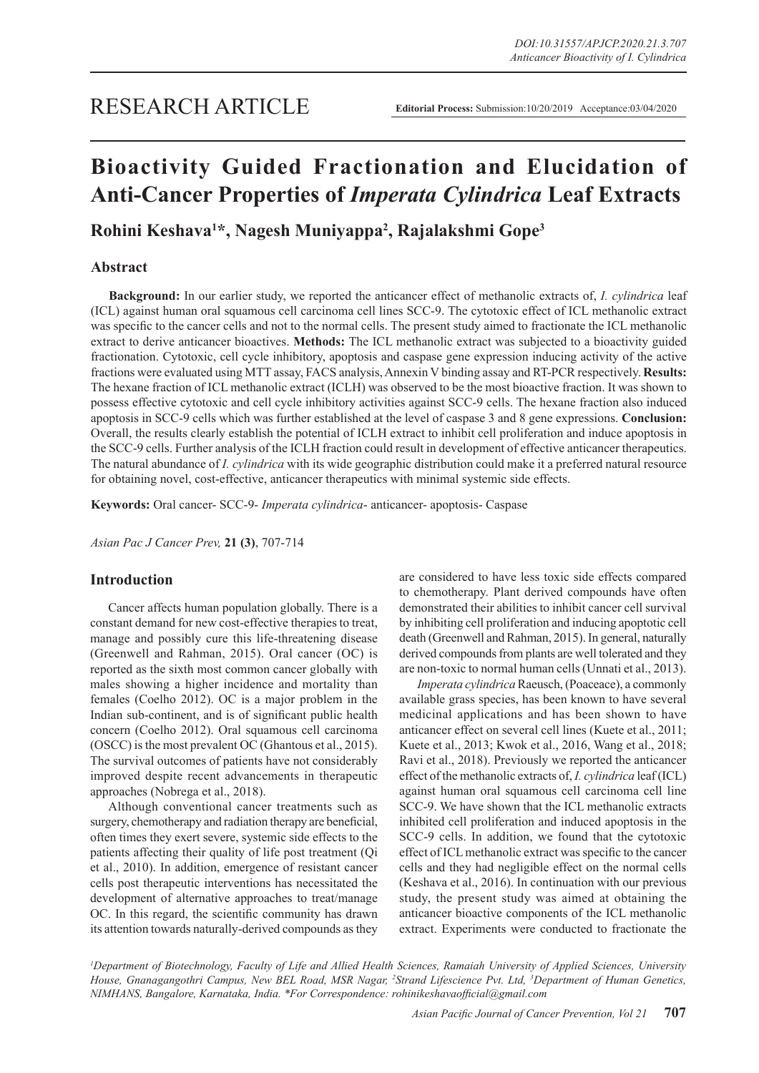# **Bioactivity Guided Fractionation and Elucidation of Anti-Cancer Properties of** *Imperata Cylindrica* **Leaf Extracts**

**Rohini Keshava1 \*, Nagesh Muniyappa2 , Rajalakshmi Gope3**

# **Abstract**

**Background:** In our earlier study, we reported the anticancer effect of methanolic extracts of, *I. cylindrica* leaf (ICL) against human oral squamous cell carcinoma cell lines SCC-9. The cytotoxic effect of ICL methanolic extract was specific to the cancer cells and not to the normal cells. The present study aimed to fractionate the ICL methanolic extract to derive anticancer bioactives. **Methods:** The ICL methanolic extract was subjected to a bioactivity guided fractionation. Cytotoxic, cell cycle inhibitory, apoptosis and caspase gene expression inducing activity of the active fractions were evaluated using MTT assay, FACS analysis, Annexin V binding assay and RT-PCR respectively. **Results:**  The hexane fraction of ICL methanolic extract (ICLH) was observed to be the most bioactive fraction. It was shown to possess effective cytotoxic and cell cycle inhibitory activities against SCC-9 cells. The hexane fraction also induced apoptosis in SCC-9 cells which was further established at the level of caspase 3 and 8 gene expressions. **Conclusion:**  Overall, the results clearly establish the potential of ICLH extract to inhibit cell proliferation and induce apoptosis in the SCC-9 cells. Further analysis of the ICLH fraction could result in development of effective anticancer therapeutics. The natural abundance of *I. cylindrica* with its wide geographic distribution could make it a preferred natural resource for obtaining novel, cost-effective, anticancer therapeutics with minimal systemic side effects.

**Keywords:** Oral cancer- SCC-9- *Imperata cylindrica*- anticancer- apoptosis- Caspase

*Asian Pac J Cancer Prev,* **21 (3)**, 707-714

## **Introduction**

Cancer affects human population globally. There is a constant demand for new cost-effective therapies to treat, manage and possibly cure this life-threatening disease (Greenwell and Rahman, 2015). Oral cancer (OC) is reported as the sixth most common cancer globally with males showing a higher incidence and mortality than females (Coelho 2012). OC is a major problem in the Indian sub-continent, and is of significant public health concern (Coelho 2012). Oral squamous cell carcinoma (OSCC) is the most prevalent OC (Ghantous et al., 2015). The survival outcomes of patients have not considerably improved despite recent advancements in therapeutic approaches (Nobrega et al., 2018).

Although conventional cancer treatments such as surgery, chemotherapy and radiation therapy are beneficial, often times they exert severe, systemic side effects to the patients affecting their quality of life post treatment (Qi et al., 2010). In addition, emergence of resistant cancer cells post therapeutic interventions has necessitated the development of alternative approaches to treat/manage OC. In this regard, the scientific community has drawn its attention towards naturally-derived compounds as they are considered to have less toxic side effects compared to chemotherapy. Plant derived compounds have often demonstrated their abilities to inhibit cancer cell survival by inhibiting cell proliferation and inducing apoptotic cell death (Greenwell and Rahman, 2015). In general, naturally derived compounds from plants are well tolerated and they are non-toxic to normal human cells (Unnati et al., 2013).

*Imperata cylindrica* Raeusch, (Poaceace), a commonly available grass species, has been known to have several medicinal applications and has been shown to have anticancer effect on several cell lines (Kuete et al., 2011; Kuete et al., 2013; Kwok et al., 2016, Wang et al., 2018; Ravi et al., 2018). Previously we reported the anticancer effect of the methanolic extracts of, *I. cylindrica* leaf (ICL) against human oral squamous cell carcinoma cell line SCC-9. We have shown that the ICL methanolic extracts inhibited cell proliferation and induced apoptosis in the SCC-9 cells. In addition, we found that the cytotoxic effect of ICL methanolic extract was specific to the cancer cells and they had negligible effect on the normal cells (Keshava et al., 2016). In continuation with our previous study, the present study was aimed at obtaining the anticancer bioactive components of the ICL methanolic extract. Experiments were conducted to fractionate the

*1 Department of Biotechnology, Faculty of Life and Allied Health Sciences, Ramaiah University of Applied Sciences, University*  House, Gnanagangothri Campus, New BEL Road, MSR Nagar, <sup>2</sup>Strand Lifescience Pvt. Ltd, <sup>3</sup>Department of Human Genetics, *NIMHANS, Bangalore, Karnataka, India. \*For Correspondence: rohinikeshavaofficial@gmail.com*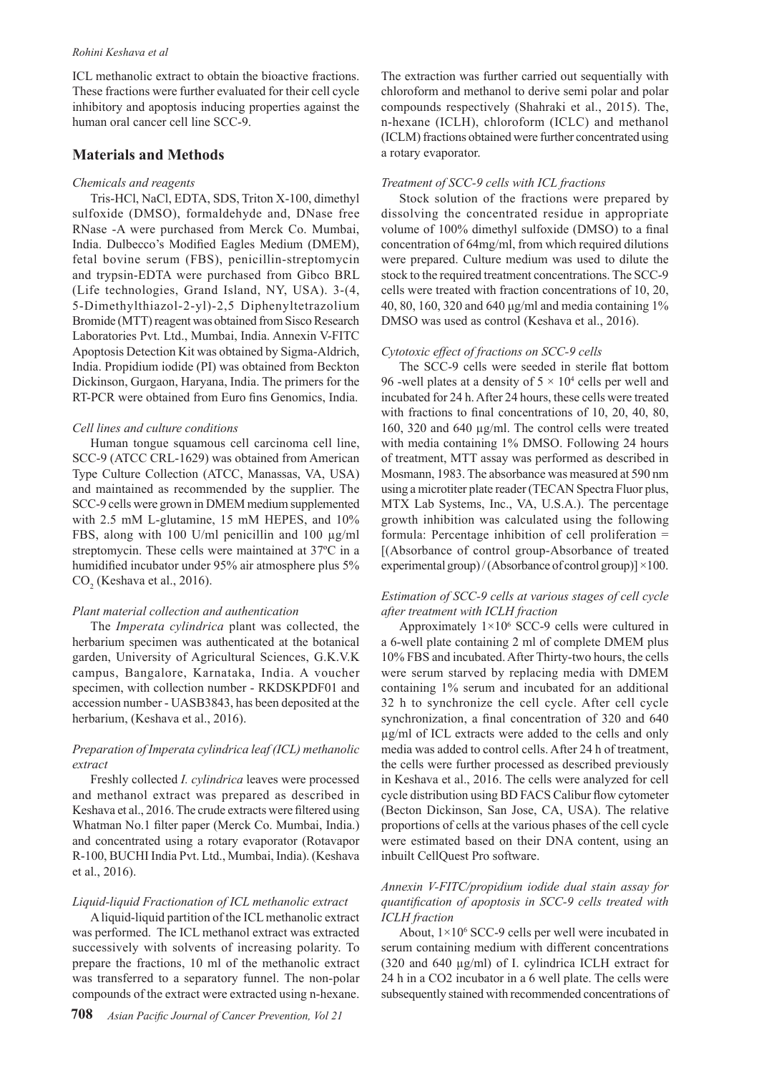#### *Rohini Keshava et al*

ICL methanolic extract to obtain the bioactive fractions. These fractions were further evaluated for their cell cycle inhibitory and apoptosis inducing properties against the human oral cancer cell line SCC-9.

## **Materials and Methods**

#### *Chemicals and reagents*

Tris-HCl, NaCl, EDTA, SDS, Triton X-100, dimethyl sulfoxide (DMSO), formaldehyde and, DNase free RNase -A were purchased from Merck Co. Mumbai, India. Dulbecco's Modified Eagles Medium (DMEM), fetal bovine serum (FBS), penicillin-streptomycin and trypsin-EDTA were purchased from Gibco BRL (Life technologies, Grand Island, NY, USA). 3-(4, 5-Dimethylthiazol-2-yl)-2,5 Diphenyltetrazolium Bromide (MTT) reagent was obtained from Sisco Research Laboratories Pvt. Ltd., Mumbai, India. Annexin V-FITC Apoptosis Detection Kit was obtained by Sigma-Aldrich, India. Propidium iodide (PI) was obtained from Beckton Dickinson, Gurgaon, Haryana, India. The primers for the RT-PCR were obtained from Euro fins Genomics, India.

#### *Cell lines and culture conditions*

Human tongue squamous cell carcinoma cell line, SCC-9 (ATCC CRL-1629) was obtained from American Type Culture Collection (ATCC, Manassas, VA, USA) and maintained as recommended by the supplier. The SCC-9 cells were grown in DMEM medium supplemented with 2.5 mM L-glutamine, 15 mM HEPES, and 10% FBS, along with 100 U/ml penicillin and 100 µg/ml streptomycin. These cells were maintained at 37ºC in a humidified incubator under 95% air atmosphere plus 5%  $CO<sub>2</sub>$  (Keshava et al., 2016).

#### *Plant material collection and authentication*

The *Imperata cylindrica* plant was collected, the herbarium specimen was authenticated at the botanical garden, University of Agricultural Sciences, G.K.V.K campus, Bangalore, Karnataka, India. A voucher specimen, with collection number - RKDSKPDF01 and accession number - UASB3843, has been deposited at the herbarium, (Keshava et al., 2016).

## *Preparation of Imperata cylindrica leaf (ICL) methanolic extract*

Freshly collected *I. cylindrica* leaves were processed and methanol extract was prepared as described in Keshava et al., 2016. The crude extracts were filtered using Whatman No.1 filter paper (Merck Co. Mumbai, India.) and concentrated using a rotary evaporator (Rotavapor R-100, BUCHI India Pvt. Ltd., Mumbai, India). (Keshava et al., 2016).

## *Liquid-liquid Fractionation of ICL methanolic extract*

A liquid-liquid partition of the ICL methanolic extract was performed. The ICL methanol extract was extracted successively with solvents of increasing polarity. To prepare the fractions, 10 ml of the methanolic extract was transferred to a separatory funnel. The non-polar compounds of the extract were extracted using n-hexane.

The extraction was further carried out sequentially with chloroform and methanol to derive semi polar and polar compounds respectively (Shahraki et al., 2015). The, n-hexane (ICLH), chloroform (ICLC) and methanol (ICLM) fractions obtained were further concentrated using a rotary evaporator.

#### *Treatment of SCC-9 cells with ICL fractions*

Stock solution of the fractions were prepared by dissolving the concentrated residue in appropriate volume of 100% dimethyl sulfoxide (DMSO) to a final concentration of 64mg/ml, from which required dilutions were prepared. Culture medium was used to dilute the stock to the required treatment concentrations. The SCC-9 cells were treated with fraction concentrations of 10, 20, 40, 80, 160, 320 and 640 μg/ml and media containing 1% DMSO was used as control (Keshava et al., 2016).

#### *Cytotoxic effect of fractions on SCC-9 cells*

The SCC-9 cells were seeded in sterile flat bottom 96 -well plates at a density of  $5 \times 10^4$  cells per well and incubated for 24 h. After 24 hours, these cells were treated with fractions to final concentrations of 10, 20, 40, 80, 160, 320 and 640 µg/ml. The control cells were treated with media containing 1% DMSO. Following 24 hours of treatment, MTT assay was performed as described in Mosmann, 1983. The absorbance was measured at 590 nm using a microtiter plate reader (TECAN Spectra Fluor plus, MTX Lab Systems, Inc., VA, U.S.A.). The percentage growth inhibition was calculated using the following formula: Percentage inhibition of cell proliferation = [(Absorbance of control group-Absorbance of treated experimental group)/(Absorbance of control group)]  $\times$ 100.

## *Estimation of SCC-9 cells at various stages of cell cycle after treatment with ICLH fraction*

Approximately  $1 \times 10^6$  SCC-9 cells were cultured in a 6-well plate containing 2 ml of complete DMEM plus 10% FBS and incubated. After Thirty-two hours, the cells were serum starved by replacing media with DMEM containing 1% serum and incubated for an additional 32 h to synchronize the cell cycle. After cell cycle synchronization, a final concentration of 320 and 640 µg/ml of ICL extracts were added to the cells and only media was added to control cells. After 24 h of treatment, the cells were further processed as described previously in Keshava et al., 2016. The cells were analyzed for cell cycle distribution using BD FACS Calibur flow cytometer (Becton Dickinson, San Jose, CA, USA). The relative proportions of cells at the various phases of the cell cycle were estimated based on their DNA content, using an inbuilt CellQuest Pro software.

## *Annexin V-FITC/propidium iodide dual stain assay for quantification of apoptosis in SCC-9 cells treated with ICLH fraction*

About,  $1 \times 10^6$  SCC-9 cells per well were incubated in serum containing medium with different concentrations (320 and 640 µg/ml) of I. cylindrica ICLH extract for 24 h in a CO2 incubator in a 6 well plate. The cells were subsequently stained with recommended concentrations of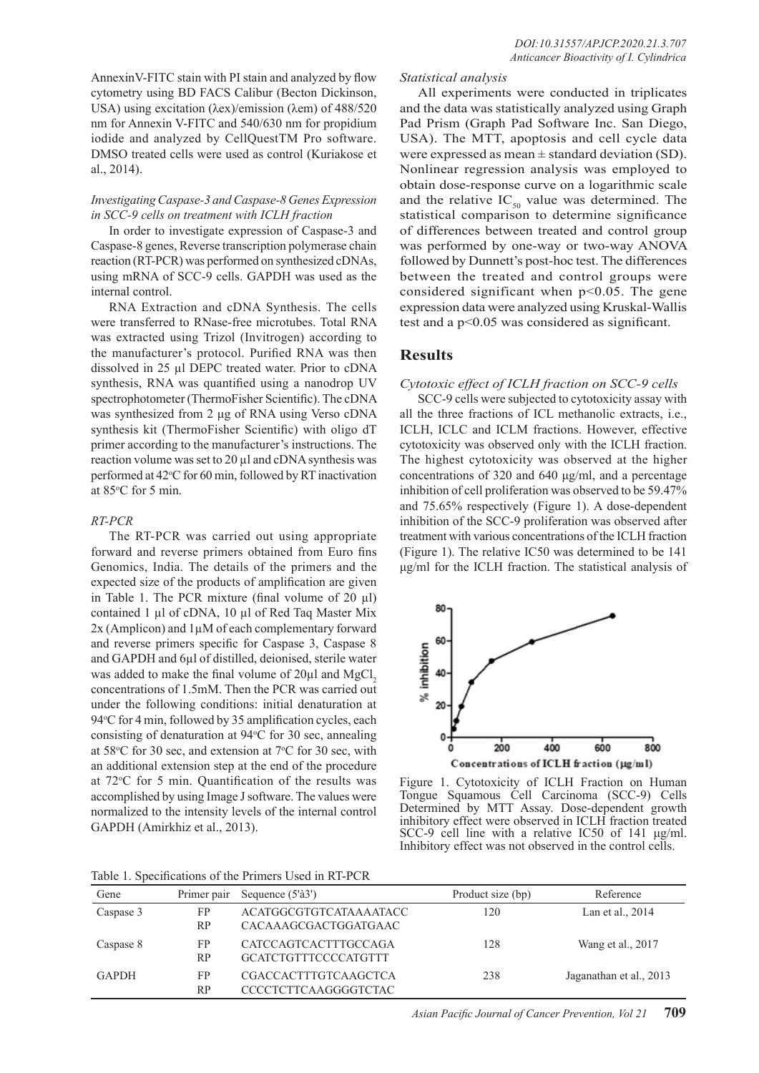AnnexinV-FITC stain with PI stain and analyzed by flow cytometry using BD FACS Calibur (Becton Dickinson, USA) using excitation (λex)/emission (λem) of 488/520 nm for Annexin V-FITC and 540/630 nm for propidium iodide and analyzed by CellQuestTM Pro software. DMSO treated cells were used as control (Kuriakose et al., 2014).

## *Investigating Caspase-3 and Caspase-8 Genes Expression in SCC-9 cells on treatment with ICLH fraction*

In order to investigate expression of Caspase-3 and Caspase-8 genes, Reverse transcription polymerase chain reaction (RT-PCR) was performed on synthesized cDNAs, using mRNA of SCC-9 cells. GAPDH was used as the internal control.

RNA Extraction and cDNA Synthesis. The cells were transferred to RNase-free microtubes. Total RNA was extracted using Trizol (Invitrogen) according to the manufacturer's protocol. Purified RNA was then dissolved in 25 µl DEPC treated water. Prior to cDNA synthesis, RNA was quantified using a nanodrop UV spectrophotometer (ThermoFisher Scientific). The cDNA was synthesized from 2 μg of RNA using Verso cDNA synthesis kit (ThermoFisher Scientific) with oligo dT primer according to the manufacturer's instructions. The reaction volume was set to 20 µl and cDNA synthesis was performed at 42°C for 60 min, followed by RT inactivation at 85°C for 5 min.

## *RT-PCR*

The RT-PCR was carried out using appropriate forward and reverse primers obtained from Euro fins Genomics, India. The details of the primers and the expected size of the products of amplification are given in Table 1. The PCR mixture (final volume of  $20 \mu l$ ) contained 1 µl of cDNA, 10 µl of Red Taq Master Mix 2x (Amplicon) and 1µM of each complementary forward and reverse primers specific for Caspase 3, Caspase 8 and GAPDH and 6µl of distilled, deionised, sterile water was added to make the final volume of  $20\mu$ l and MgCl<sub>2</sub> concentrations of 1.5mM. Then the PCR was carried out under the following conditions: initial denaturation at 94°C for 4 min, followed by 35 amplification cycles, each consisting of denaturation at 94°C for 30 sec, annealing at  $58^{\circ}$ C for 30 sec, and extension at  $7^{\circ}$ C for 30 sec, with an additional extension step at the end of the procedure at 72°C for 5 min. Quantification of the results was accomplished by using Image J software. The values were normalized to the intensity levels of the internal control GAPDH (Amirkhiz et al., 2013).

# *Statistical analysis*

All experiments were conducted in triplicates and the data was statistically analyzed using Graph Pad Prism (Graph Pad Software Inc. San Diego, USA). The MTT, apoptosis and cell cycle data were expressed as mean  $\pm$  standard deviation (SD). Nonlinear regression analysis was employed to obtain dose-response curve on a logarithmic scale and the relative  $IC_{50}$  value was determined. The statistical comparison to determine significance of differences between treated and control group was performed by one-way or two-way ANOVA followed by Dunnett's post-hoc test. The differences between the treated and control groups were considered significant when  $p<0.05$ . The gene expression data were analyzed using Kruskal-Wallis test and a p<0.05 was considered as significant.

# **Results**

*Cytotoxic effect of ICLH fraction on SCC-9 cells*

SCC-9 cells were subjected to cytotoxicity assay with all the three fractions of ICL methanolic extracts, i.e., ICLH, ICLC and ICLM fractions. However, effective cytotoxicity was observed only with the ICLH fraction. The highest cytotoxicity was observed at the higher concentrations of 320 and 640 μg/ml, and a percentage inhibition of cell proliferation was observed to be 59.47% and 75.65% respectively (Figure 1). A dose-dependent inhibition of the SCC-9 proliferation was observed after treatment with various concentrations of the ICLH fraction (Figure 1). The relative IC50 was determined to be 141 μg/ml for the ICLH fraction. The statistical analysis of



Figure 1. Cytotoxicity of ICLH Fraction on Human Tongue Squamous Cell Carcinoma (SCC-9) Cells Determined by MTT Assay. Dose-dependent growth inhibitory effect were observed in ICLH fraction treated SCC-9 cell line with a relative IC50 of 141 μg/ml. Inhibitory effect was not observed in the control cells.

| Table 1. Specifications of the Primers Used in RT-PCR |
|-------------------------------------------------------|
|-------------------------------------------------------|

| Gene         | Primer pair     | Sequence (5'à3')                                           | Product size (bp) | Reference               |
|--------------|-----------------|------------------------------------------------------------|-------------------|-------------------------|
| Caspase 3    | FP<br>RP        | <b>ACATGGCGTGTCATAAAATACC</b><br>CACAAAGCGACTGGATGAAC      | 120               | Lan et al., 2014        |
| Caspase 8    | FP<br><b>RP</b> | CATCCAGTCACTTTGCCAGA<br><b>GCATCTGTTTCCCCATGTTT</b>        | 128               | Wang et al., 2017       |
| <b>GAPDH</b> | FP<br><b>RP</b> | <b>CGACCACTTTGTCAAGCTCA</b><br><b>CCCCTCTTCAAGGGGTCTAC</b> | 238               | Jaganathan et al., 2013 |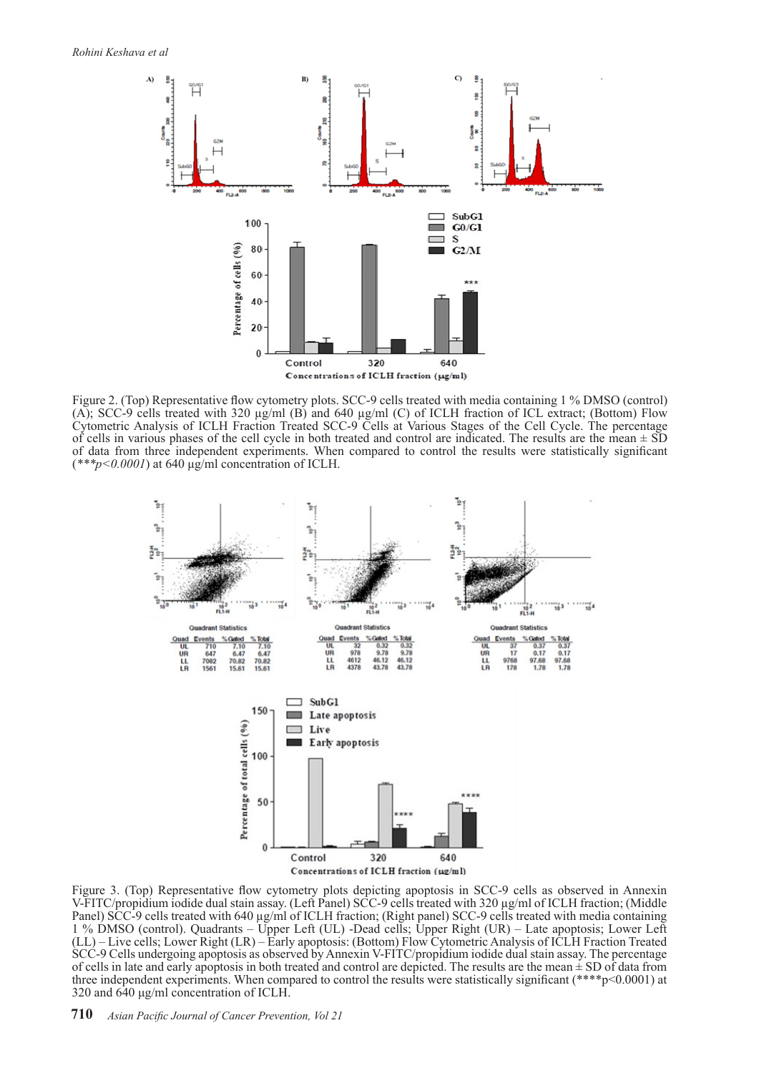

Figure 2. (Top) Representative flow cytometry plots. SCC-9 cells treated with media containing 1 % DMSO (control) (A); SCC-9 cells treated with 320 µg/ml (B) and 640 µg/ml (C) of ICLH fraction of ICL extract; (Bottom) Flow Cytometric Analysis of ICLH Fraction Treated SCC-9 Cells at Various Stages of the Cell Cycle. The percentage of cells in various phases of the cell cycle in both treated and control are indicated. The results are the mean  $\pm$  SD of data from three independent experiments. When compared to control the results were statistically significant (*\*\*\*p<0.0001*) at 640 μg/ml concentration of ICLH.



Figure 3. (Top) Representative flow cytometry plots depicting apoptosis in SCC-9 cells as observed in Annexin V-FITC/propidium iodide dual stain assay. (Left Panel) SCC-9 cells treated with 320 µg/ml of ICLH fraction; (Middle Panel) SCC-9 cells treated with 640 µg/ml of ICLH fraction; (Right panel) SCC-9 cells treated with media containing 1 % DMSO (control). Quadrants – Upper Left (UL) -Dead cells; Upper Right (UR) – Late apoptosis; Lower Left (LL) – Live cells; Lower Right (LR) – Early apoptosis: (Bottom) Flow Cytometric Analysis of ICLH Fraction Treated SCC-9 Cells undergoing apoptosis as observed by Annexin V-FITC/propidium iodide dual stain assay. The percentage of cells in late and early apoptosis in both treated and control are depicted. The results are the mean  $\pm$  SD of data from three independent experiments. When compared to control the results were statistically significant (\*\*\*\*p<0.0001) at 320 and 640 μg/ml concentration of ICLH.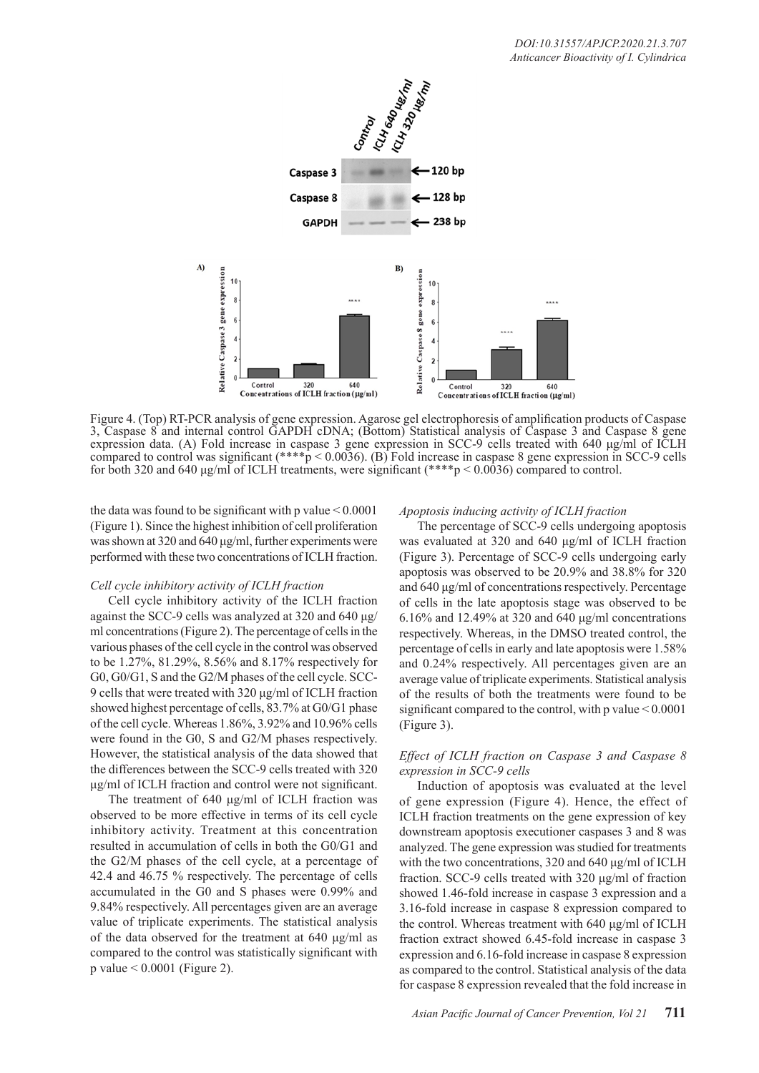

Figure 4. (Top) RT-PCR analysis of gene expression. Agarose gel electrophoresis of amplification products of Caspase 3, Caspase 8 and internal control GAPDH cDNA; (Bottom) Statistical analysis of Caspase 3 and Caspase 8 gene expression data. (A) Fold increase in caspase 3 gene expression in SCC-9 cells treated with 640 μg/ml of ICLH compared to control was significant (\*\*\*\*p < 0.0036). (B) Fold increase in caspase 8 gene expression in SCC-9 cells for both 320 and 640 μg/ml of ICLH treatments, were significant (\*\*\*\*p < 0.0036) compared to control.

the data was found to be significant with p value  $\leq 0.0001$ (Figure 1). Since the highest inhibition of cell proliferation was shown at 320 and 640 μg/ml, further experiments were performed with these two concentrations of ICLH fraction.

## *Cell cycle inhibitory activity of ICLH fraction*

Cell cycle inhibitory activity of the ICLH fraction against the SCC-9 cells was analyzed at 320 and 640 μg/ ml concentrations (Figure 2). The percentage of cells in the various phases of the cell cycle in the control was observed to be 1.27%, 81.29%, 8.56% and 8.17% respectively for G0, G0/G1, S and the G2/M phases of the cell cycle. SCC-9 cells that were treated with 320 μg/ml of ICLH fraction showed highest percentage of cells, 83.7% at G0/G1 phase of the cell cycle. Whereas 1.86%, 3.92% and 10.96% cells were found in the G0, S and G2/M phases respectively. However, the statistical analysis of the data showed that the differences between the SCC-9 cells treated with 320 μg/ml of ICLH fraction and control were not significant.

The treatment of 640 μg/ml of ICLH fraction was observed to be more effective in terms of its cell cycle inhibitory activity. Treatment at this concentration resulted in accumulation of cells in both the G0/G1 and the G2/M phases of the cell cycle, at a percentage of 42.4 and 46.75 % respectively. The percentage of cells accumulated in the G0 and S phases were 0.99% and 9.84% respectively. All percentages given are an average value of triplicate experiments. The statistical analysis of the data observed for the treatment at 640 μg/ml as compared to the control was statistically significant with p value < 0.0001 (Figure 2).

## *Apoptosis inducing activity of ICLH fraction*

The percentage of SCC-9 cells undergoing apoptosis was evaluated at 320 and 640 μg/ml of ICLH fraction (Figure 3). Percentage of SCC-9 cells undergoing early apoptosis was observed to be 20.9% and 38.8% for 320 and 640 μg/ml of concentrations respectively. Percentage of cells in the late apoptosis stage was observed to be 6.16% and 12.49% at 320 and 640 μg/ml concentrations respectively. Whereas, in the DMSO treated control, the percentage of cells in early and late apoptosis were 1.58% and 0.24% respectively. All percentages given are an average value of triplicate experiments. Statistical analysis of the results of both the treatments were found to be significant compared to the control, with p value < 0.0001 (Figure 3).

# *Effect of ICLH fraction on Caspase 3 and Caspase 8 expression in SCC-9 cells*

Induction of apoptosis was evaluated at the level of gene expression (Figure 4). Hence, the effect of ICLH fraction treatments on the gene expression of key downstream apoptosis executioner caspases 3 and 8 was analyzed. The gene expression was studied for treatments with the two concentrations, 320 and 640 μg/ml of ICLH fraction. SCC-9 cells treated with 320 μg/ml of fraction showed 1.46-fold increase in caspase 3 expression and a 3.16-fold increase in caspase 8 expression compared to the control. Whereas treatment with 640 μg/ml of ICLH fraction extract showed 6.45-fold increase in caspase 3 expression and 6.16-fold increase in caspase 8 expression as compared to the control. Statistical analysis of the data for caspase 8 expression revealed that the fold increase in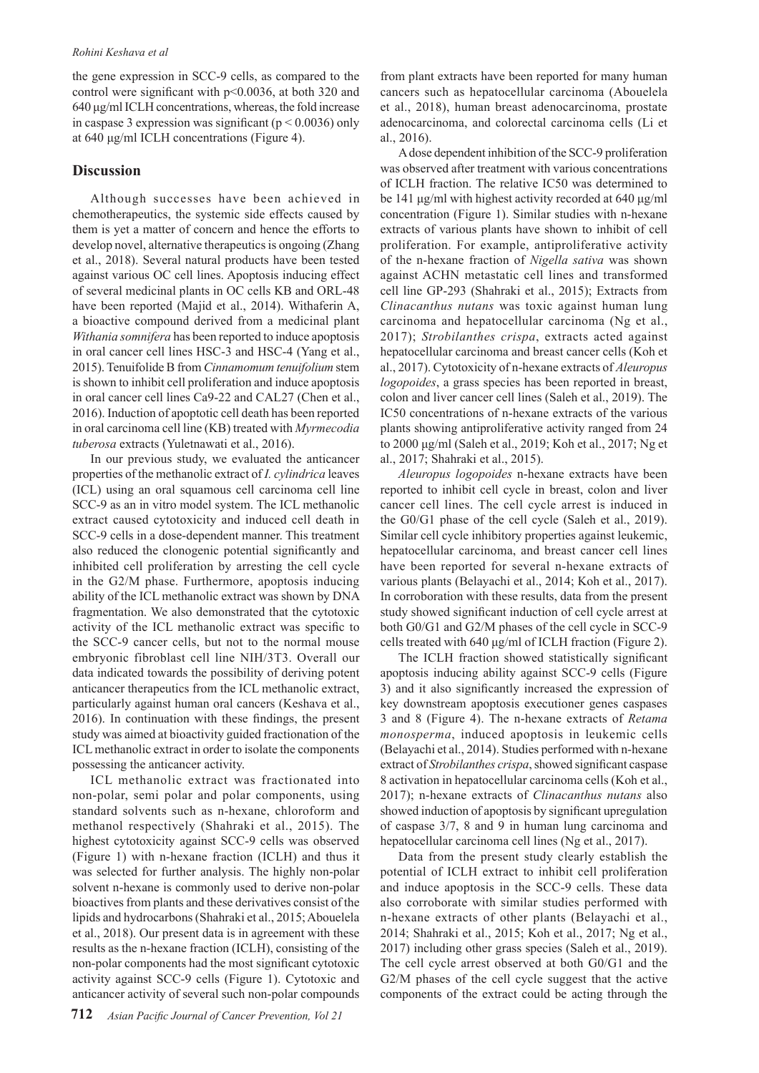the gene expression in SCC-9 cells, as compared to the control were significant with p<0.0036, at both 320 and 640 μg/ml ICLH concentrations, whereas, the fold increase in caspase 3 expression was significant ( $p < 0.0036$ ) only at 640 μg/ml ICLH concentrations (Figure 4).

# **Discussion**

Although successes have been achieved in chemotherapeutics, the systemic side effects caused by them is yet a matter of concern and hence the efforts to develop novel, alternative therapeutics is ongoing (Zhang et al., 2018). Several natural products have been tested against various OC cell lines. Apoptosis inducing effect of several medicinal plants in OC cells KB and ORL-48 have been reported (Majid et al., 2014). Withaferin A, a bioactive compound derived from a medicinal plant *Withania somnifera* has been reported to induce apoptosis in oral cancer cell lines HSC-3 and HSC-4 (Yang et al., 2015). Tenuifolide B from *Cinnamomum tenuifolium* stem is shown to inhibit cell proliferation and induce apoptosis in oral cancer cell lines Ca9-22 and CAL27 (Chen et al., 2016). Induction of apoptotic cell death has been reported in oral carcinoma cell line (KB) treated with *Myrmecodia tuberosa* extracts (Yuletnawati et al., 2016).

In our previous study, we evaluated the anticancer properties of the methanolic extract of *I. cylindrica* leaves (ICL) using an oral squamous cell carcinoma cell line SCC-9 as an in vitro model system. The ICL methanolic extract caused cytotoxicity and induced cell death in SCC-9 cells in a dose-dependent manner. This treatment also reduced the clonogenic potential significantly and inhibited cell proliferation by arresting the cell cycle in the G2/M phase. Furthermore, apoptosis inducing ability of the ICL methanolic extract was shown by DNA fragmentation. We also demonstrated that the cytotoxic activity of the ICL methanolic extract was specific to the SCC-9 cancer cells, but not to the normal mouse embryonic fibroblast cell line NIH/3T3. Overall our data indicated towards the possibility of deriving potent anticancer therapeutics from the ICL methanolic extract, particularly against human oral cancers (Keshava et al., 2016). In continuation with these findings, the present study was aimed at bioactivity guided fractionation of the ICL methanolic extract in order to isolate the components possessing the anticancer activity.

ICL methanolic extract was fractionated into non-polar, semi polar and polar components, using standard solvents such as n-hexane, chloroform and methanol respectively (Shahraki et al., 2015). The highest cytotoxicity against SCC-9 cells was observed (Figure 1) with n-hexane fraction (ICLH) and thus it was selected for further analysis. The highly non-polar solvent n-hexane is commonly used to derive non-polar bioactives from plants and these derivatives consist of the lipids and hydrocarbons (Shahraki et al., 2015; Abouelela et al., 2018). Our present data is in agreement with these results as the n-hexane fraction (ICLH), consisting of the non-polar components had the most significant cytotoxic activity against SCC-9 cells (Figure 1). Cytotoxic and anticancer activity of several such non-polar compounds

from plant extracts have been reported for many human cancers such as hepatocellular carcinoma (Abouelela et al., 2018), human breast adenocarcinoma, prostate adenocarcinoma, and colorectal carcinoma cells (Li et al., 2016).

A dose dependent inhibition of the SCC-9 proliferation was observed after treatment with various concentrations of ICLH fraction. The relative IC50 was determined to be 141 μg/ml with highest activity recorded at 640 μg/ml concentration (Figure 1). Similar studies with n-hexane extracts of various plants have shown to inhibit of cell proliferation. For example, antiproliferative activity of the n-hexane fraction of *Nigella sativa* was shown against ACHN metastatic cell lines and transformed cell line GP-293 (Shahraki et al., 2015); Extracts from *Clinacanthus nutans* was toxic against human lung carcinoma and hepatocellular carcinoma (Ng et al., 2017); *Strobilanthes crispa*, extracts acted against hepatocellular carcinoma and breast cancer cells (Koh et al., 2017). Cytotoxicity of n-hexane extracts of *Aleuropus logopoides*, a grass species has been reported in breast, colon and liver cancer cell lines (Saleh et al., 2019). The IC50 concentrations of n-hexane extracts of the various plants showing antiproliferative activity ranged from 24 to 2000 μg/ml (Saleh et al., 2019; Koh et al., 2017; Ng et al., 2017; Shahraki et al., 2015).

*Aleuropus logopoides* n-hexane extracts have been reported to inhibit cell cycle in breast, colon and liver cancer cell lines. The cell cycle arrest is induced in the G0/G1 phase of the cell cycle (Saleh et al., 2019). Similar cell cycle inhibitory properties against leukemic, hepatocellular carcinoma, and breast cancer cell lines have been reported for several n-hexane extracts of various plants (Belayachi et al., 2014; Koh et al., 2017). In corroboration with these results, data from the present study showed significant induction of cell cycle arrest at both G0/G1 and G2/M phases of the cell cycle in SCC-9 cells treated with 640 μg/ml of ICLH fraction (Figure 2).

The ICLH fraction showed statistically significant apoptosis inducing ability against SCC-9 cells (Figure 3) and it also significantly increased the expression of key downstream apoptosis executioner genes caspases 3 and 8 (Figure 4). The n-hexane extracts of *Retama monosperma*, induced apoptosis in leukemic cells (Belayachi et al., 2014). Studies performed with n-hexane extract of *Strobilanthes crispa*, showed significant caspase 8 activation in hepatocellular carcinoma cells (Koh et al., 2017); n-hexane extracts of *Clinacanthus nutans* also showed induction of apoptosis by significant upregulation of caspase 3/7, 8 and 9 in human lung carcinoma and hepatocellular carcinoma cell lines (Ng et al., 2017).

Data from the present study clearly establish the potential of ICLH extract to inhibit cell proliferation and induce apoptosis in the SCC-9 cells. These data also corroborate with similar studies performed with n-hexane extracts of other plants (Belayachi et al., 2014; Shahraki et al., 2015; Koh et al., 2017; Ng et al., 2017) including other grass species (Saleh et al., 2019). The cell cycle arrest observed at both G0/G1 and the G2/M phases of the cell cycle suggest that the active components of the extract could be acting through the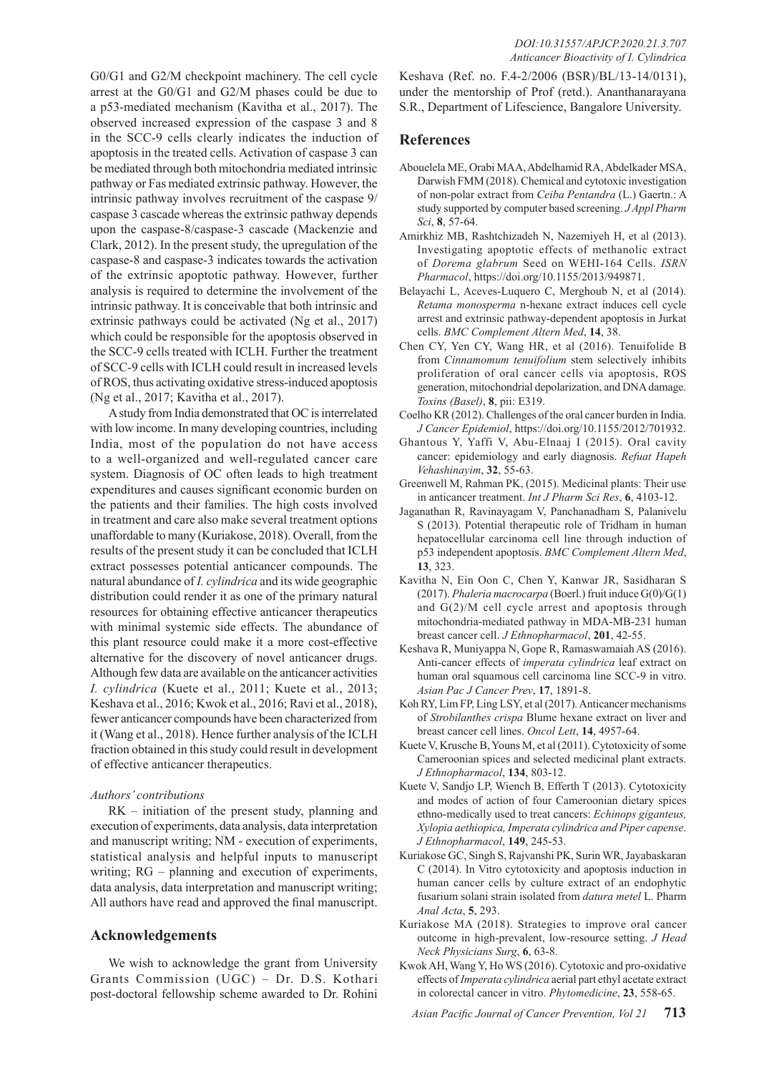G0/G1 and G2/M checkpoint machinery. The cell cycle arrest at the G0/G1 and G2/M phases could be due to a p53-mediated mechanism (Kavitha et al., 2017). The observed increased expression of the caspase 3 and 8 in the SCC-9 cells clearly indicates the induction of apoptosis in the treated cells. Activation of caspase 3 can be mediated through both mitochondria mediated intrinsic pathway or Fas mediated extrinsic pathway. However, the intrinsic pathway involves recruitment of the caspase 9/ caspase 3 cascade whereas the extrinsic pathway depends upon the caspase-8/caspase-3 cascade (Mackenzie and Clark, 2012). In the present study, the upregulation of the caspase-8 and caspase-3 indicates towards the activation of the extrinsic apoptotic pathway. However, further analysis is required to determine the involvement of the intrinsic pathway. It is conceivable that both intrinsic and extrinsic pathways could be activated (Ng et al., 2017) which could be responsible for the apoptosis observed in the SCC-9 cells treated with ICLH. Further the treatment of SCC-9 cells with ICLH could result in increased levels of ROS, thus activating oxidative stress-induced apoptosis (Ng et al., 2017; Kavitha et al., 2017).

A study from India demonstrated that OC is interrelated with low income. In many developing countries, including India, most of the population do not have access to a well-organized and well-regulated cancer care system. Diagnosis of OC often leads to high treatment expenditures and causes significant economic burden on the patients and their families. The high costs involved in treatment and care also make several treatment options unaffordable to many (Kuriakose, 2018). Overall, from the results of the present study it can be concluded that ICLH extract possesses potential anticancer compounds. The natural abundance of *I. cylindrica* and its wide geographic distribution could render it as one of the primary natural resources for obtaining effective anticancer therapeutics with minimal systemic side effects. The abundance of this plant resource could make it a more cost-effective alternative for the discovery of novel anticancer drugs. Although few data are available on the anticancer activities *I. cylindrica* (Kuete et al., 2011; Kuete et al., 2013; Keshava et al., 2016; Kwok et al., 2016; Ravi et al., 2018), fewer anticancer compounds have been characterized from it (Wang et al., 2018). Hence further analysis of the ICLH fraction obtained in this study could result in development of effective anticancer therapeutics.

#### *Authors' contributions*

RK – initiation of the present study, planning and execution of experiments, data analysis, data interpretation and manuscript writing; NM - execution of experiments, statistical analysis and helpful inputs to manuscript writing; RG – planning and execution of experiments, data analysis, data interpretation and manuscript writing; All authors have read and approved the final manuscript.

## **Acknowledgements**

We wish to acknowledge the grant from University Grants Commission (UGC) – Dr. D.S. Kothari post-doctoral fellowship scheme awarded to Dr. Rohini

Keshava (Ref. no. F.4-2/2006 (BSR)/BL/13-14/0131), under the mentorship of Prof (retd.). Ananthanarayana S.R., Department of Lifescience, Bangalore University.

## **References**

- Abouelela ME, Orabi MAA, Abdelhamid RA, Abdelkader MSA, Darwish FMM (2018). Chemical and cytotoxic investigation of non-polar extract from *Ceiba Pentandra* (L.) Gaertn.: A study supported by computer based screening. *J Appl Pharm Sci*, **8**, 57-64.
- Amirkhiz MB, Rashtchizadeh N, Nazemiyeh H, et al (2013). Investigating apoptotic effects of methanolic extract of *Dorema glabrum* Seed on WEHI-164 Cells. *ISRN Pharmacol*, https://doi.org/10.1155/2013/949871.
- Belayachi L, Aceves-Luquero C, Merghoub N, et al (2014). *Retama monosperma* n-hexane extract induces cell cycle arrest and extrinsic pathway-dependent apoptosis in Jurkat cells. *BMC Complement Altern Med*, **14**, 38.
- Chen CY, Yen CY, Wang HR, et al (2016). Tenuifolide B from *Cinnamomum tenuifolium* stem selectively inhibits proliferation of oral cancer cells via apoptosis, ROS generation, mitochondrial depolarization, and DNA damage. *Toxins (Basel)*, **8**, pii: E319.
- Coelho KR (2012). Challenges of the oral cancer burden in India. *J Cancer Epidemiol*, https://doi.org/10.1155/2012/701932.
- Ghantous Y, Yaffi V, Abu-Elnaaj I (2015). Oral cavity cancer: epidemiology and early diagnosis. *Refuat Hapeh Vehashinayim*, **32**, 55-63.
- Greenwell M, Rahman PK, (2015). Medicinal plants: Their use in anticancer treatment. *Int J Pharm Sci Res*, **6**, 4103-12.
- Jaganathan R, Ravinayagam V, Panchanadham S, Palanivelu S (2013). Potential therapeutic role of Tridham in human hepatocellular carcinoma cell line through induction of p53 independent apoptosis. *BMC Complement Altern Med*, **13**, 323.
- Kavitha N, Ein Oon C, Chen Y, Kanwar JR, Sasidharan S (2017). *Phaleria macrocarpa* (Boerl.) fruit induce G(0)/G(1) and G(2)/M cell cycle arrest and apoptosis through mitochondria-mediated pathway in MDA-MB-231 human breast cancer cell. *J Ethnopharmacol*, **201**, 42-55.
- Keshava R, Muniyappa N, Gope R, Ramaswamaiah AS (2016). Anti-cancer effects of *imperata cylindrica* leaf extract on human oral squamous cell carcinoma line SCC-9 in vitro. *Asian Pac J Cancer Prev*, **17**, 1891-8.
- Koh RY, Lim FP, Ling LSY, et al (2017). Anticancer mechanisms of *Strobilanthes crispa* Blume hexane extract on liver and breast cancer cell lines. *Oncol Lett*, **14**, 4957-64.
- Kuete V, Krusche B, Youns M, et al (2011). Cytotoxicity of some Cameroonian spices and selected medicinal plant extracts. *J Ethnopharmacol*, **134**, 803-12.
- Kuete V, Sandjo LP, Wiench B, Efferth T (2013). Cytotoxicity and modes of action of four Cameroonian dietary spices ethno-medically used to treat cancers: *Echinops giganteus, Xylopia aethiopica, Imperata cylindrica and Piper capense*. *J Ethnopharmacol*, **149**, 245-53.
- Kuriakose GC, Singh S, Rajvanshi PK, Surin WR, Jayabaskaran C (2014). In Vitro cytotoxicity and apoptosis induction in human cancer cells by culture extract of an endophytic fusarium solani strain isolated from *datura metel* L. Pharm *Anal Acta*, **5**, 293.
- Kuriakose MA (2018). Strategies to improve oral cancer outcome in high-prevalent, low-resource setting. *J Head Neck Physicians Surg*, **6**, 63-8.
- Kwok AH, Wang Y, Ho WS (2016). Cytotoxic and pro-oxidative effects of *Imperata cylindrica* aerial part ethyl acetate extract in colorectal cancer in vitro. *Phytomedicine*, **23**, 558-65.